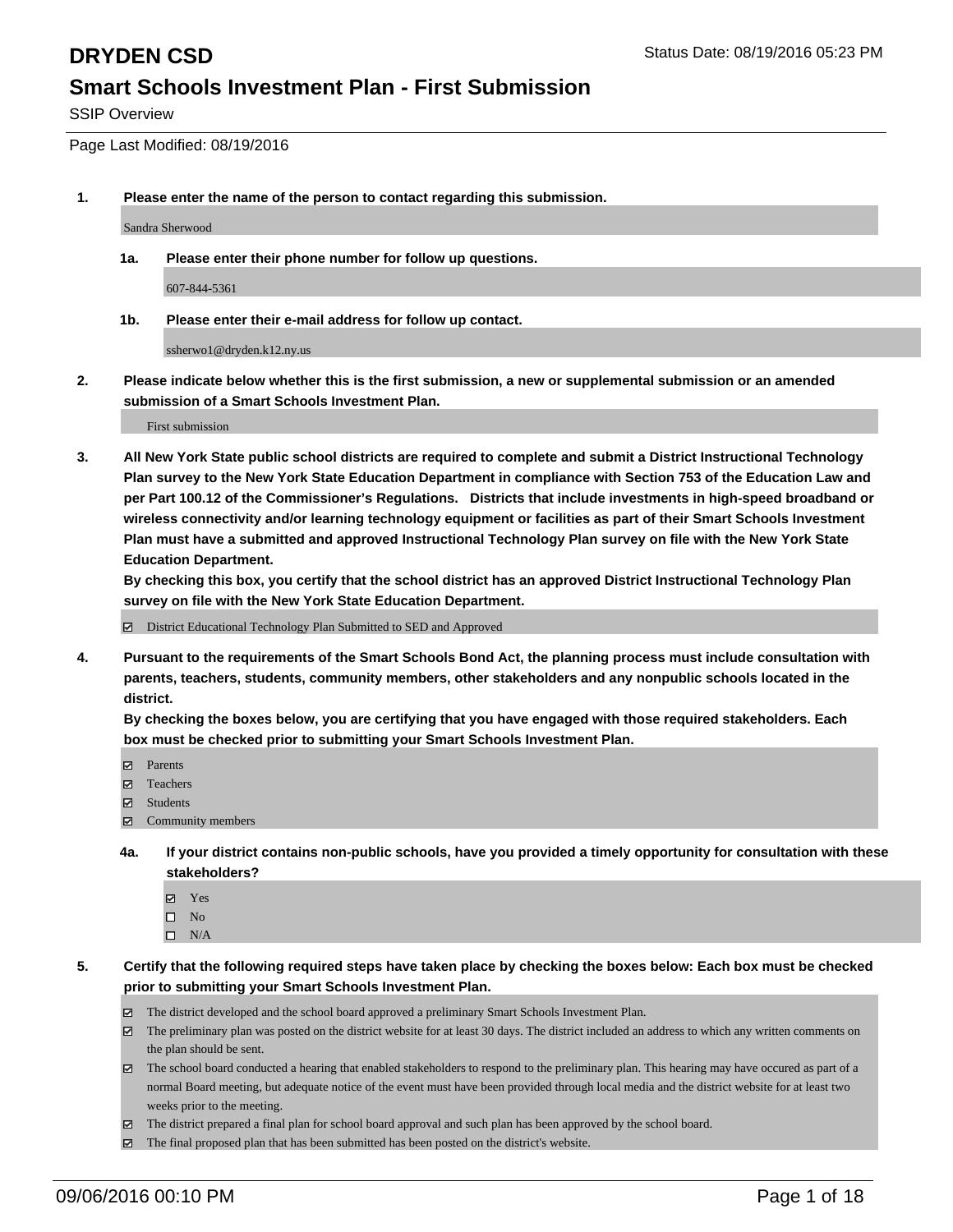SSIP Overview

Page Last Modified: 08/19/2016

**1. Please enter the name of the person to contact regarding this submission.**

Sandra Sherwood

**1a. Please enter their phone number for follow up questions.**

607-844-5361

**1b. Please enter their e-mail address for follow up contact.**

ssherwo1@dryden.k12.ny.us

**2. Please indicate below whether this is the first submission, a new or supplemental submission or an amended submission of a Smart Schools Investment Plan.**

First submission

**3. All New York State public school districts are required to complete and submit a District Instructional Technology Plan survey to the New York State Education Department in compliance with Section 753 of the Education Law and per Part 100.12 of the Commissioner's Regulations. Districts that include investments in high-speed broadband or wireless connectivity and/or learning technology equipment or facilities as part of their Smart Schools Investment Plan must have a submitted and approved Instructional Technology Plan survey on file with the New York State Education Department.** 

**By checking this box, you certify that the school district has an approved District Instructional Technology Plan survey on file with the New York State Education Department.**

District Educational Technology Plan Submitted to SED and Approved

**4. Pursuant to the requirements of the Smart Schools Bond Act, the planning process must include consultation with parents, teachers, students, community members, other stakeholders and any nonpublic schools located in the district.** 

**By checking the boxes below, you are certifying that you have engaged with those required stakeholders. Each box must be checked prior to submitting your Smart Schools Investment Plan.**

- Parents
- Teachers
- $\boxtimes$  Students
- Community members
- **4a. If your district contains non-public schools, have you provided a timely opportunity for consultation with these stakeholders?**
	- Yes  $\square$  No
	- $\square$  N/A
- **5. Certify that the following required steps have taken place by checking the boxes below: Each box must be checked prior to submitting your Smart Schools Investment Plan.**
	- The district developed and the school board approved a preliminary Smart Schools Investment Plan.
	- The preliminary plan was posted on the district website for at least 30 days. The district included an address to which any written comments on the plan should be sent.
	- The school board conducted a hearing that enabled stakeholders to respond to the preliminary plan. This hearing may have occured as part of a normal Board meeting, but adequate notice of the event must have been provided through local media and the district website for at least two weeks prior to the meeting.
	- The district prepared a final plan for school board approval and such plan has been approved by the school board.
	- $\boxtimes$  The final proposed plan that has been submitted has been posted on the district's website.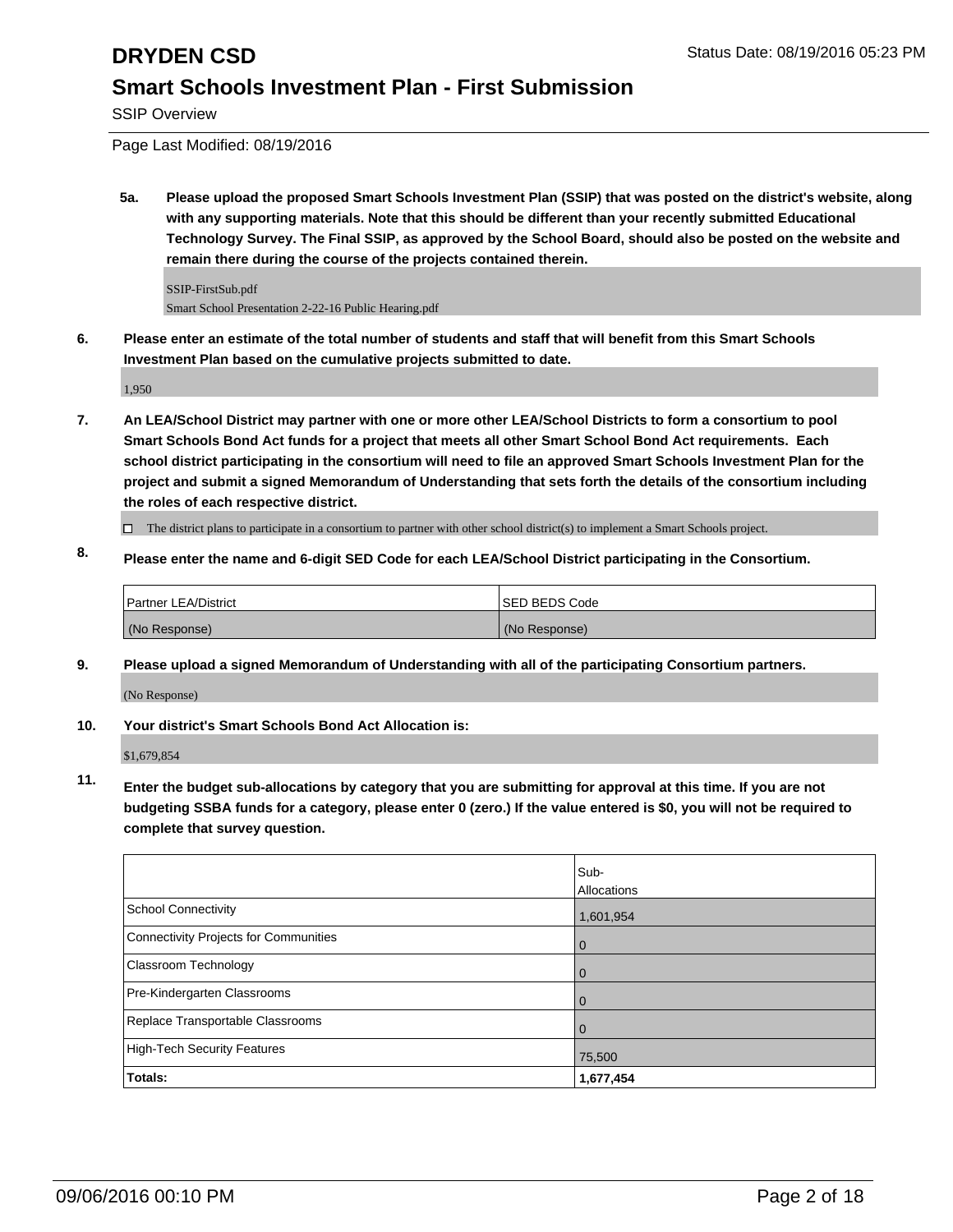SSIP Overview

Page Last Modified: 08/19/2016

**5a. Please upload the proposed Smart Schools Investment Plan (SSIP) that was posted on the district's website, along with any supporting materials. Note that this should be different than your recently submitted Educational Technology Survey. The Final SSIP, as approved by the School Board, should also be posted on the website and remain there during the course of the projects contained therein.**

SSIP-FirstSub.pdf Smart School Presentation 2-22-16 Public Hearing.pdf

**6. Please enter an estimate of the total number of students and staff that will benefit from this Smart Schools Investment Plan based on the cumulative projects submitted to date.**

1,950

**7. An LEA/School District may partner with one or more other LEA/School Districts to form a consortium to pool Smart Schools Bond Act funds for a project that meets all other Smart School Bond Act requirements. Each school district participating in the consortium will need to file an approved Smart Schools Investment Plan for the project and submit a signed Memorandum of Understanding that sets forth the details of the consortium including the roles of each respective district.**

 $\Box$  The district plans to participate in a consortium to partner with other school district(s) to implement a Smart Schools project.

**8. Please enter the name and 6-digit SED Code for each LEA/School District participating in the Consortium.**

| Partner LEA/District | <b>ISED BEDS Code</b> |
|----------------------|-----------------------|
| (No Response)        | (No Response)         |

**9. Please upload a signed Memorandum of Understanding with all of the participating Consortium partners.** (No Response)

**10. Your district's Smart Schools Bond Act Allocation is:**

\$1,679,854

**11. Enter the budget sub-allocations by category that you are submitting for approval at this time. If you are not budgeting SSBA funds for a category, please enter 0 (zero.) If the value entered is \$0, you will not be required to complete that survey question.**

|                                       | Sub-<br>Allocations |
|---------------------------------------|---------------------|
| School Connectivity                   | 1,601,954           |
| Connectivity Projects for Communities | 0                   |
| Classroom Technology                  | $\Omega$            |
| Pre-Kindergarten Classrooms           |                     |
| Replace Transportable Classrooms      |                     |
| High-Tech Security Features           | 75,500              |
| Totals:                               | 1,677,454           |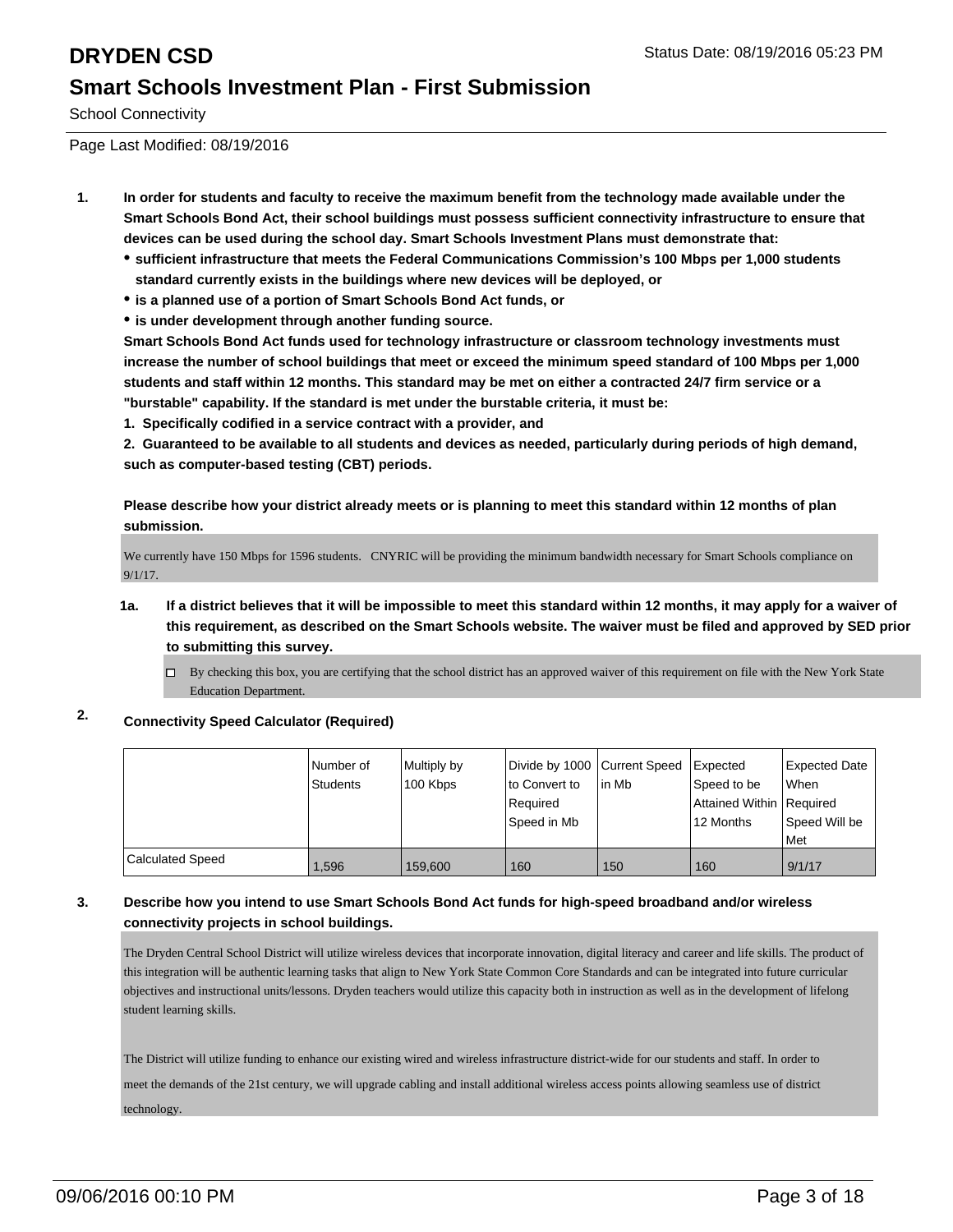School Connectivity

Page Last Modified: 08/19/2016

- **1. In order for students and faculty to receive the maximum benefit from the technology made available under the Smart Schools Bond Act, their school buildings must possess sufficient connectivity infrastructure to ensure that devices can be used during the school day. Smart Schools Investment Plans must demonstrate that:**
	- **sufficient infrastructure that meets the Federal Communications Commission's 100 Mbps per 1,000 students standard currently exists in the buildings where new devices will be deployed, or**
	- **is a planned use of a portion of Smart Schools Bond Act funds, or**
	- **is under development through another funding source.**

**Smart Schools Bond Act funds used for technology infrastructure or classroom technology investments must increase the number of school buildings that meet or exceed the minimum speed standard of 100 Mbps per 1,000 students and staff within 12 months. This standard may be met on either a contracted 24/7 firm service or a "burstable" capability. If the standard is met under the burstable criteria, it must be:**

**1. Specifically codified in a service contract with a provider, and**

**2. Guaranteed to be available to all students and devices as needed, particularly during periods of high demand, such as computer-based testing (CBT) periods.**

**Please describe how your district already meets or is planning to meet this standard within 12 months of plan submission.**

We currently have 150 Mbps for 1596 students. CNYRIC will be providing the minimum bandwidth necessary for Smart Schools compliance on 9/1/17.

- **1a. If a district believes that it will be impossible to meet this standard within 12 months, it may apply for a waiver of this requirement, as described on the Smart Schools website. The waiver must be filed and approved by SED prior to submitting this survey.**
	- $\Box$  By checking this box, you are certifying that the school district has an approved waiver of this requirement on file with the New York State Education Department.

### **2. Connectivity Speed Calculator (Required)**

|                         | I Number of<br><b>Students</b> | Multiply by<br>100 Kbps | Divide by 1000 Current Speed Expected<br>lto Convert to<br>Required<br>Speed in Mb | lin Mb | Speed to be<br>Attained Within Required<br>12 Months | <b>Expected Date</b><br><b>When</b><br>Speed Will be<br>l Met |
|-------------------------|--------------------------------|-------------------------|------------------------------------------------------------------------------------|--------|------------------------------------------------------|---------------------------------------------------------------|
| <b>Calculated Speed</b> | 1.596                          | 159,600                 | 160                                                                                | 150    | 160                                                  | 9/1/17                                                        |

### **3. Describe how you intend to use Smart Schools Bond Act funds for high-speed broadband and/or wireless connectivity projects in school buildings.**

The Dryden Central School District will utilize wireless devices that incorporate innovation, digital literacy and career and life skills. The product of this integration will be authentic learning tasks that align to New York State Common Core Standards and can be integrated into future curricular objectives and instructional units/lessons. Dryden teachers would utilize this capacity both in instruction as well as in the development of lifelong student learning skills.

The District will utilize funding to enhance our existing wired and wireless infrastructure district-wide for our students and staff. In order to

meet the demands of the 21st century, we will upgrade cabling and install additional wireless access points allowing seamless use of district technology.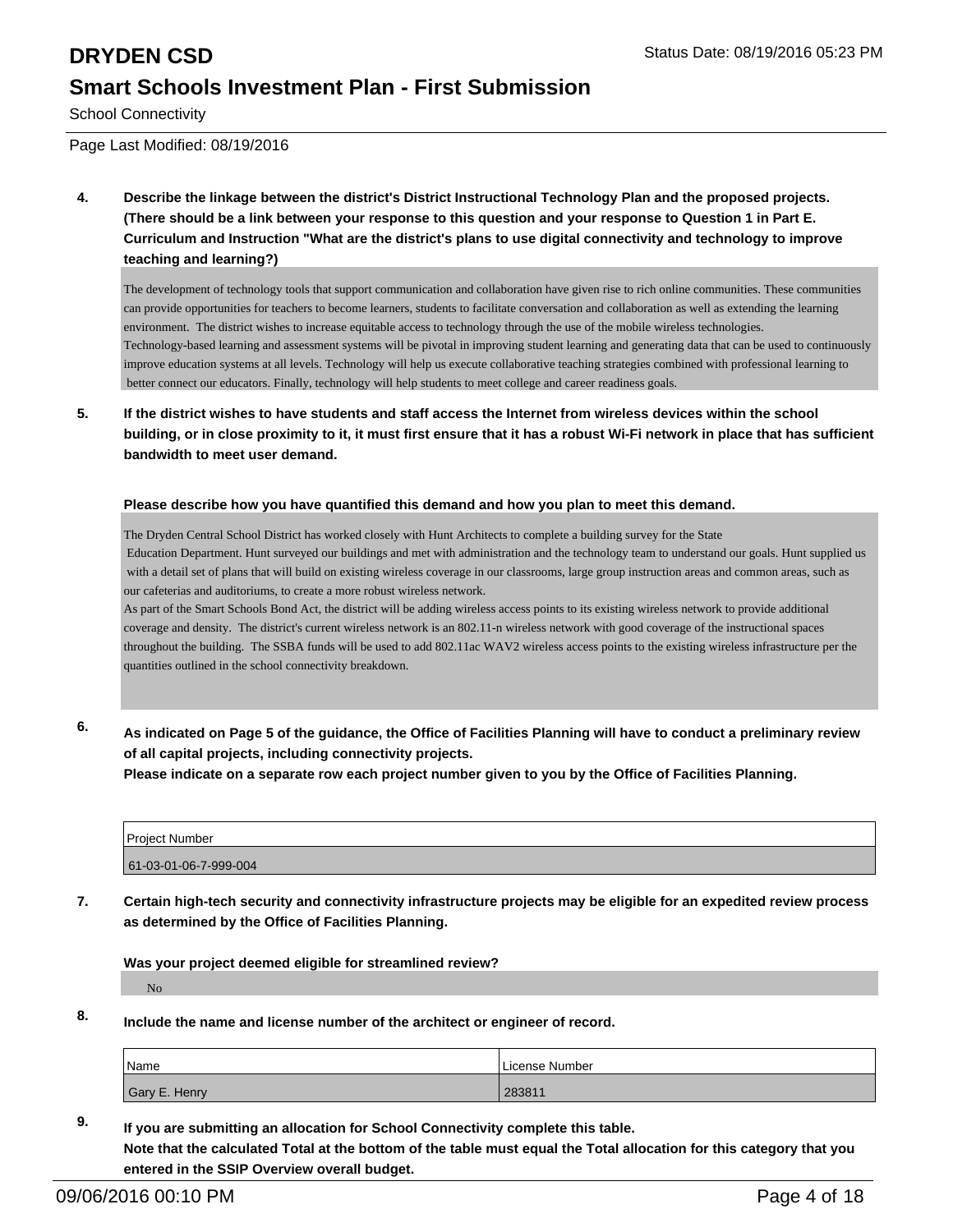School Connectivity

Page Last Modified: 08/19/2016

**4. Describe the linkage between the district's District Instructional Technology Plan and the proposed projects. (There should be a link between your response to this question and your response to Question 1 in Part E. Curriculum and Instruction "What are the district's plans to use digital connectivity and technology to improve teaching and learning?)**

The development of technology tools that support communication and collaboration have given rise to rich online communities. These communities can provide opportunities for teachers to become learners, students to facilitate conversation and collaboration as well as extending the learning environment. The district wishes to increase equitable access to technology through the use of the mobile wireless technologies. Technology-based learning and assessment systems will be pivotal in improving student learning and generating data that can be used to continuously improve education systems at all levels. Technology will help us execute collaborative teaching strategies combined with professional learning to better connect our educators. Finally, technology will help students to meet college and career readiness goals.

**5. If the district wishes to have students and staff access the Internet from wireless devices within the school building, or in close proximity to it, it must first ensure that it has a robust Wi-Fi network in place that has sufficient bandwidth to meet user demand.**

### **Please describe how you have quantified this demand and how you plan to meet this demand.**

The Dryden Central School District has worked closely with Hunt Architects to complete a building survey for the State Education Department. Hunt surveyed our buildings and met with administration and the technology team to understand our goals. Hunt supplied us with a detail set of plans that will build on existing wireless coverage in our classrooms, large group instruction areas and common areas, such as our cafeterias and auditoriums, to create a more robust wireless network.

As part of the Smart Schools Bond Act, the district will be adding wireless access points to its existing wireless network to provide additional coverage and density. The district's current wireless network is an 802.11-n wireless network with good coverage of the instructional spaces throughout the building. The SSBA funds will be used to add 802.11ac WAV2 wireless access points to the existing wireless infrastructure per the quantities outlined in the school connectivity breakdown.

**6. As indicated on Page 5 of the guidance, the Office of Facilities Planning will have to conduct a preliminary review of all capital projects, including connectivity projects.**

**Please indicate on a separate row each project number given to you by the Office of Facilities Planning.**

| l Proiect Number      |  |
|-----------------------|--|
| 61-03-01-06-7-999-004 |  |

**7. Certain high-tech security and connectivity infrastructure projects may be eligible for an expedited review process as determined by the Office of Facilities Planning.**

**Was your project deemed eligible for streamlined review?**

No

**8. Include the name and license number of the architect or engineer of record.**

| <b>Name</b>   | License Number |
|---------------|----------------|
| Gary E. Henry | 283811         |

**9. If you are submitting an allocation for School Connectivity complete this table. Note that the calculated Total at the bottom of the table must equal the Total allocation for this category that you entered in the SSIP Overview overall budget.**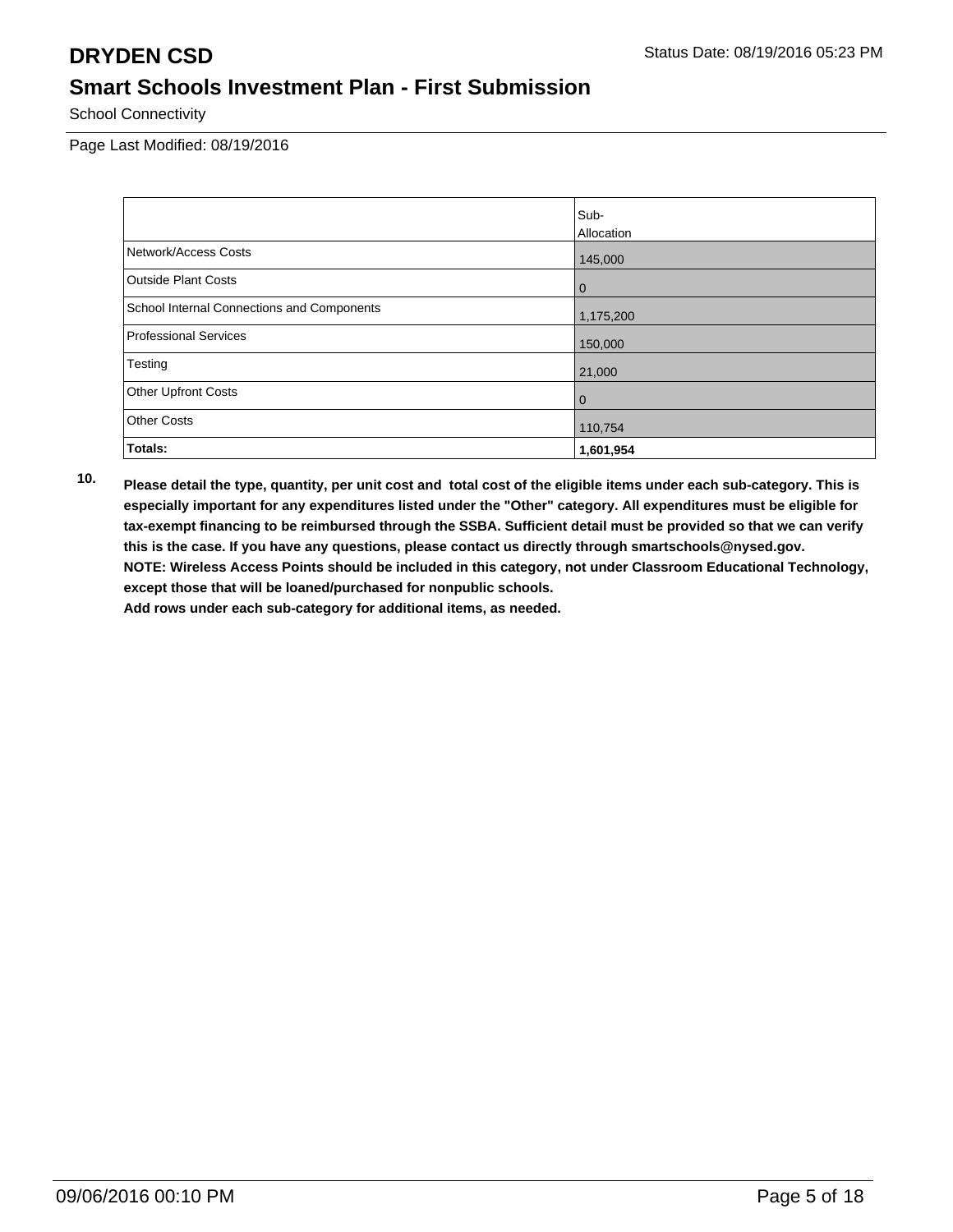School Connectivity

Page Last Modified: 08/19/2016

|                                            | Sub-              |
|--------------------------------------------|-------------------|
|                                            | <b>Allocation</b> |
| Network/Access Costs                       | 145,000           |
| Outside Plant Costs                        | $\bf{0}$          |
| School Internal Connections and Components | 1,175,200         |
| Professional Services                      | 150,000           |
| Testing                                    | 21,000            |
| <b>Other Upfront Costs</b>                 | 0                 |
| <b>Other Costs</b>                         | 110,754           |
| Totals:                                    | 1,601,954         |

**10. Please detail the type, quantity, per unit cost and total cost of the eligible items under each sub-category. This is especially important for any expenditures listed under the "Other" category. All expenditures must be eligible for tax-exempt financing to be reimbursed through the SSBA. Sufficient detail must be provided so that we can verify this is the case. If you have any questions, please contact us directly through smartschools@nysed.gov. NOTE: Wireless Access Points should be included in this category, not under Classroom Educational Technology, except those that will be loaned/purchased for nonpublic schools.**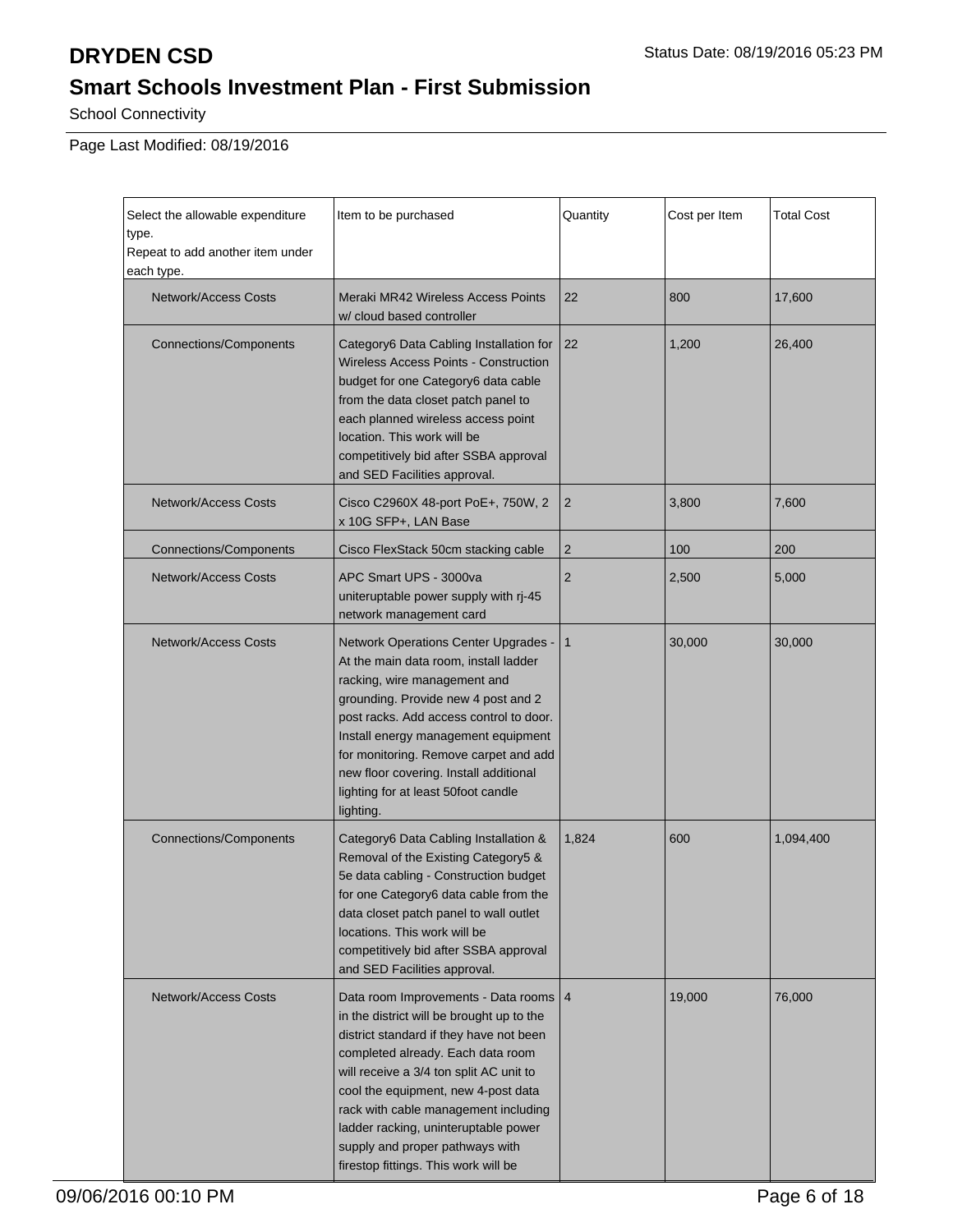School Connectivity

Page Last Modified: 08/19/2016

| Select the allowable expenditure<br>Item to be purchased<br>type.<br>Repeat to add another item under<br>each type. |                                                                                                                                                                                                                                                                                                                                                                                                                   | Quantity       | Cost per Item | <b>Total Cost</b> |
|---------------------------------------------------------------------------------------------------------------------|-------------------------------------------------------------------------------------------------------------------------------------------------------------------------------------------------------------------------------------------------------------------------------------------------------------------------------------------------------------------------------------------------------------------|----------------|---------------|-------------------|
| <b>Network/Access Costs</b>                                                                                         | Meraki MR42 Wireless Access Points<br>w/ cloud based controller                                                                                                                                                                                                                                                                                                                                                   | 22             | 800           | 17,600            |
| <b>Connections/Components</b>                                                                                       | Category6 Data Cabling Installation for<br><b>Wireless Access Points - Construction</b><br>budget for one Category6 data cable<br>from the data closet patch panel to<br>each planned wireless access point<br>location. This work will be<br>competitively bid after SSBA approval<br>and SED Facilities approval.                                                                                               | 22             | 1,200         | 26,400            |
| <b>Network/Access Costs</b>                                                                                         | Cisco C2960X 48-port PoE+, 750W, 2<br>x 10G SFP+, LAN Base                                                                                                                                                                                                                                                                                                                                                        | $\overline{2}$ | 3,800         | 7,600             |
| <b>Connections/Components</b>                                                                                       | Cisco FlexStack 50cm stacking cable                                                                                                                                                                                                                                                                                                                                                                               | $\overline{2}$ | 100           | 200               |
| <b>Network/Access Costs</b>                                                                                         | APC Smart UPS - 3000va<br>uniteruptable power supply with rj-45<br>network management card                                                                                                                                                                                                                                                                                                                        | $\overline{2}$ | 2,500         | 5,000             |
| <b>Network/Access Costs</b>                                                                                         | Network Operations Center Upgrades -<br>At the main data room, install ladder<br>racking, wire management and<br>grounding. Provide new 4 post and 2<br>post racks. Add access control to door.<br>Install energy management equipment<br>for monitoring. Remove carpet and add<br>new floor covering. Install additional<br>lighting for at least 50foot candle<br>lighting.                                     | $\mathbf{1}$   | 30,000        | 30,000            |
| <b>Connections/Components</b>                                                                                       | Category6 Data Cabling Installation &<br>Removal of the Existing Category5 &<br>5e data cabling - Construction budget<br>for one Category6 data cable from the<br>data closet patch panel to wall outlet<br>locations. This work will be<br>competitively bid after SSBA approval<br>and SED Facilities approval.                                                                                                 | 1,824          | 600           | 1,094,400         |
| <b>Network/Access Costs</b>                                                                                         | Data room Improvements - Data rooms   4<br>in the district will be brought up to the<br>district standard if they have not been<br>completed already. Each data room<br>will receive a 3/4 ton split AC unit to<br>cool the equipment, new 4-post data<br>rack with cable management including<br>ladder racking, uninteruptable power<br>supply and proper pathways with<br>firestop fittings. This work will be |                | 19,000        | 76,000            |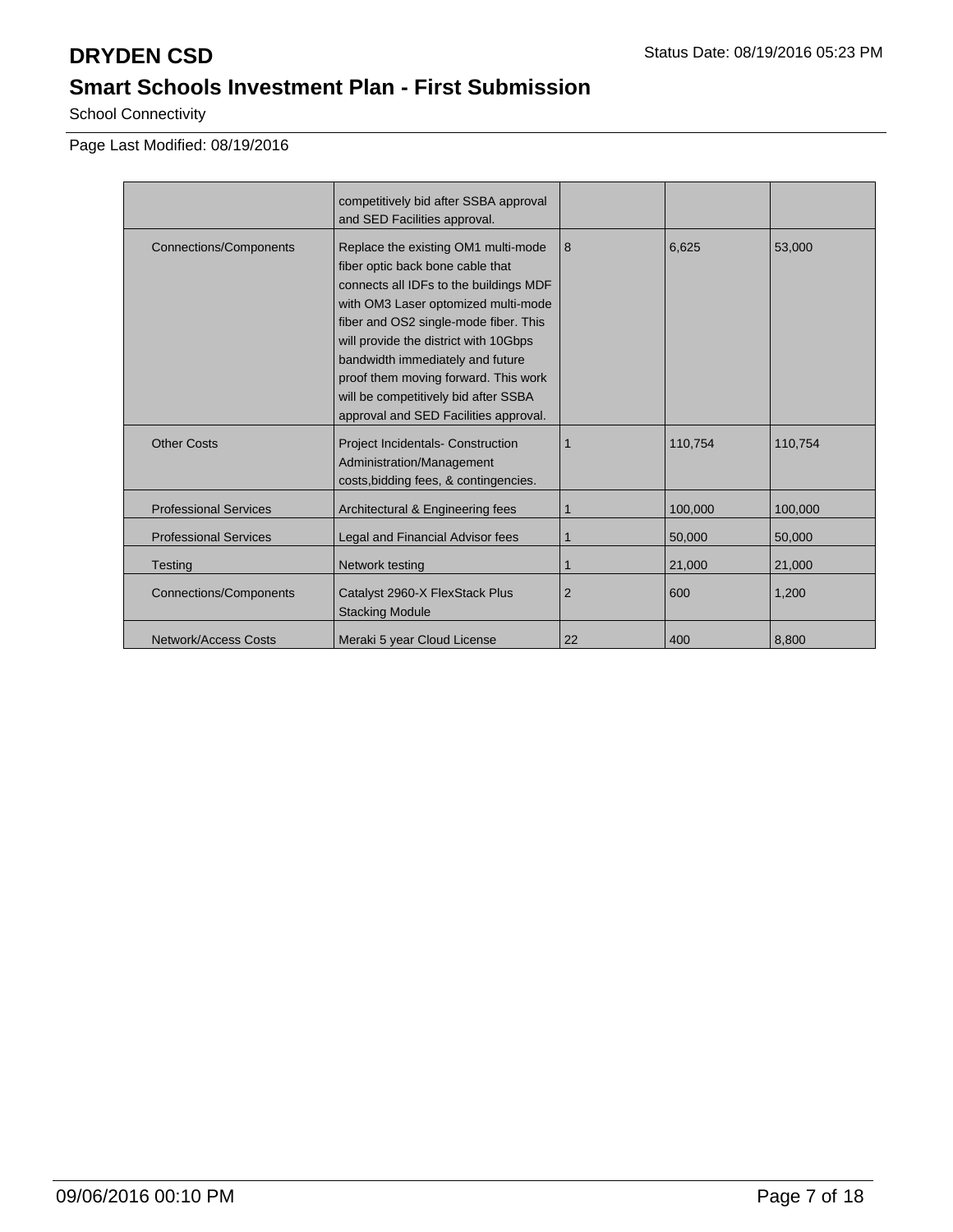School Connectivity

Page Last Modified: 08/19/2016

|                               | competitively bid after SSBA approval<br>and SED Facilities approval.                                                                                                                                                                                                                                                                                                                                   |                |         |         |
|-------------------------------|---------------------------------------------------------------------------------------------------------------------------------------------------------------------------------------------------------------------------------------------------------------------------------------------------------------------------------------------------------------------------------------------------------|----------------|---------|---------|
| <b>Connections/Components</b> | Replace the existing OM1 multi-mode<br>fiber optic back bone cable that<br>connects all IDFs to the buildings MDF<br>with OM3 Laser optomized multi-mode<br>fiber and OS2 single-mode fiber. This<br>will provide the district with 10Gbps<br>bandwidth immediately and future<br>proof them moving forward. This work<br>will be competitively bid after SSBA<br>approval and SED Facilities approval. | 8              | 6,625   | 53,000  |
| <b>Other Costs</b>            | <b>Project Incidentals- Construction</b><br>Administration/Management<br>costs, bidding fees, & contingencies.                                                                                                                                                                                                                                                                                          |                | 110,754 | 110,754 |
| <b>Professional Services</b>  | Architectural & Engineering fees                                                                                                                                                                                                                                                                                                                                                                        |                | 100.000 | 100,000 |
| <b>Professional Services</b>  | Legal and Financial Advisor fees                                                                                                                                                                                                                                                                                                                                                                        | 1              | 50,000  | 50,000  |
| <b>Testing</b>                | Network testing                                                                                                                                                                                                                                                                                                                                                                                         |                | 21,000  | 21,000  |
| <b>Connections/Components</b> | Catalyst 2960-X FlexStack Plus<br><b>Stacking Module</b>                                                                                                                                                                                                                                                                                                                                                | $\overline{2}$ | 600     | 1,200   |
| Network/Access Costs          | Meraki 5 year Cloud License                                                                                                                                                                                                                                                                                                                                                                             | 22             | 400     | 8,800   |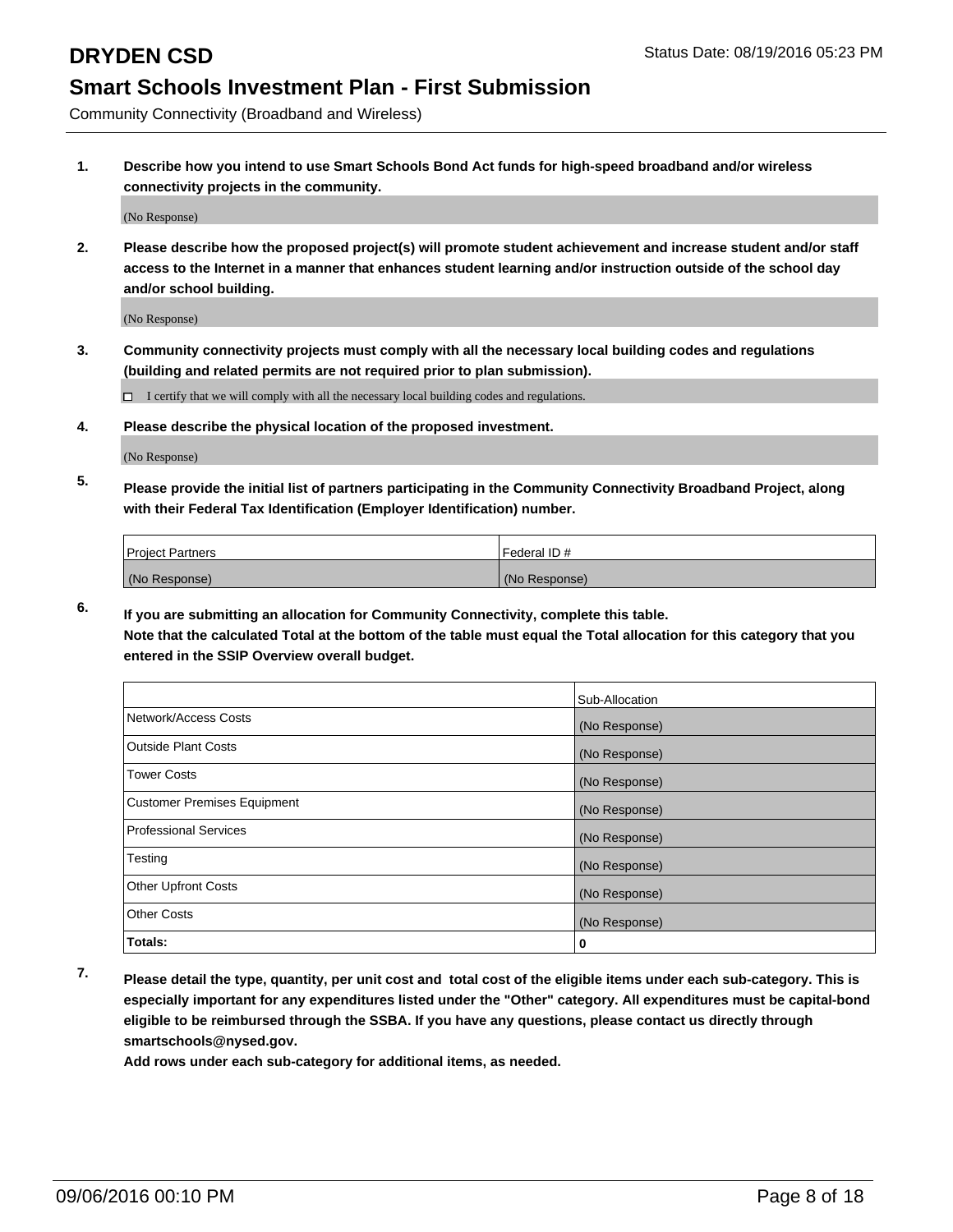Community Connectivity (Broadband and Wireless)

**1. Describe how you intend to use Smart Schools Bond Act funds for high-speed broadband and/or wireless connectivity projects in the community.**

(No Response)

**2. Please describe how the proposed project(s) will promote student achievement and increase student and/or staff access to the Internet in a manner that enhances student learning and/or instruction outside of the school day and/or school building.**

(No Response)

**3. Community connectivity projects must comply with all the necessary local building codes and regulations (building and related permits are not required prior to plan submission).**

 $\Box$  I certify that we will comply with all the necessary local building codes and regulations.

**4. Please describe the physical location of the proposed investment.**

(No Response)

**5. Please provide the initial list of partners participating in the Community Connectivity Broadband Project, along with their Federal Tax Identification (Employer Identification) number.**

| <b>Project Partners</b> | Federal ID#   |
|-------------------------|---------------|
| (No Response)           | (No Response) |

**6. If you are submitting an allocation for Community Connectivity, complete this table.**

**Note that the calculated Total at the bottom of the table must equal the Total allocation for this category that you entered in the SSIP Overview overall budget.**

|                                    | Sub-Allocation |
|------------------------------------|----------------|
| Network/Access Costs               | (No Response)  |
| Outside Plant Costs                | (No Response)  |
| <b>Tower Costs</b>                 | (No Response)  |
| <b>Customer Premises Equipment</b> | (No Response)  |
| Professional Services              | (No Response)  |
| Testing                            | (No Response)  |
| Other Upfront Costs                | (No Response)  |
| Other Costs                        | (No Response)  |
| Totals:                            | 0              |

**7. Please detail the type, quantity, per unit cost and total cost of the eligible items under each sub-category. This is especially important for any expenditures listed under the "Other" category. All expenditures must be capital-bond eligible to be reimbursed through the SSBA. If you have any questions, please contact us directly through smartschools@nysed.gov.**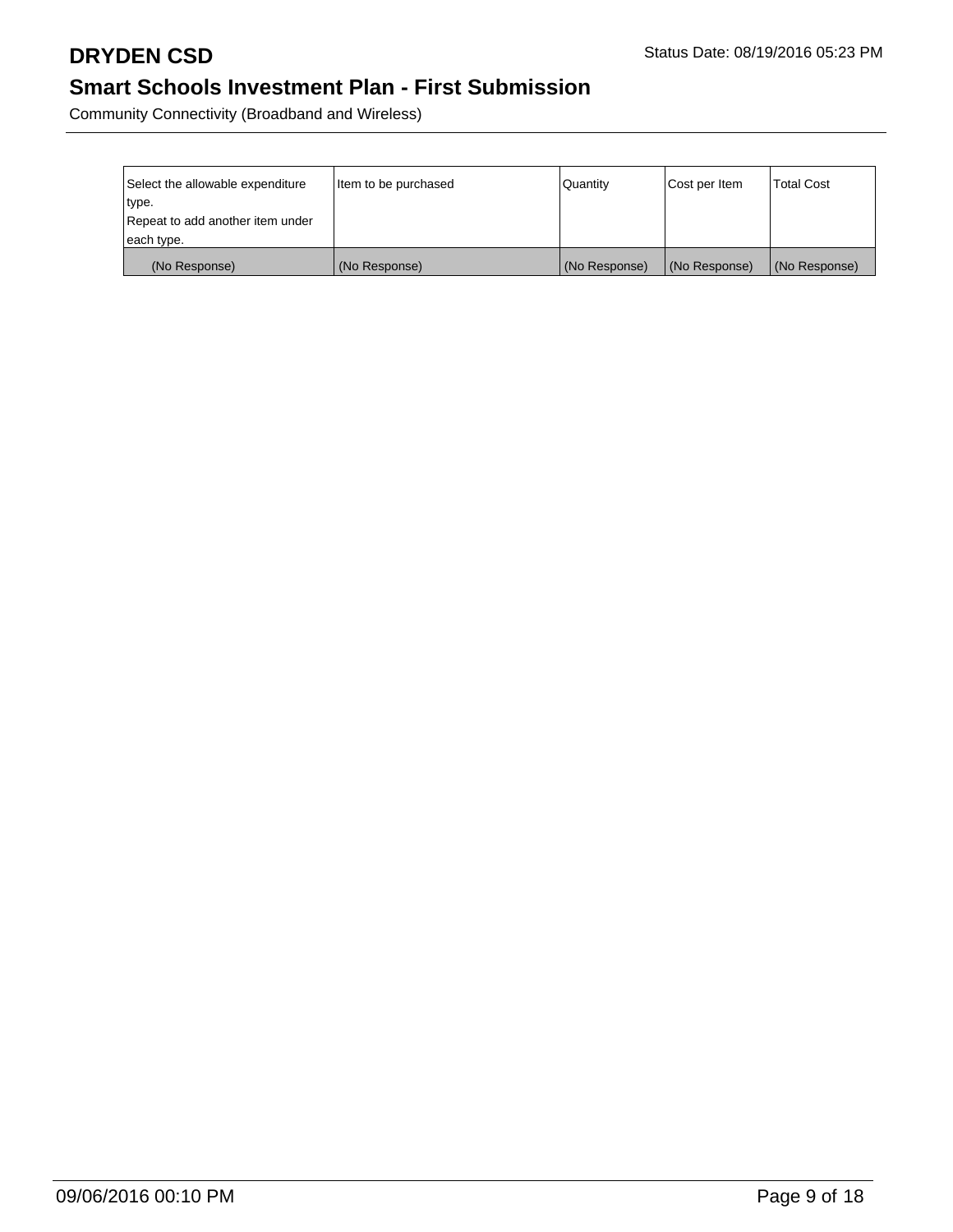Community Connectivity (Broadband and Wireless)

| Select the allowable expenditure | I Item to be purchased | Quantity      | Cost per Item | <b>Total Cost</b> |
|----------------------------------|------------------------|---------------|---------------|-------------------|
| type.                            |                        |               |               |                   |
| Repeat to add another item under |                        |               |               |                   |
| each type.                       |                        |               |               |                   |
| (No Response)                    | (No Response)          | (No Response) | (No Response) | (No Response)     |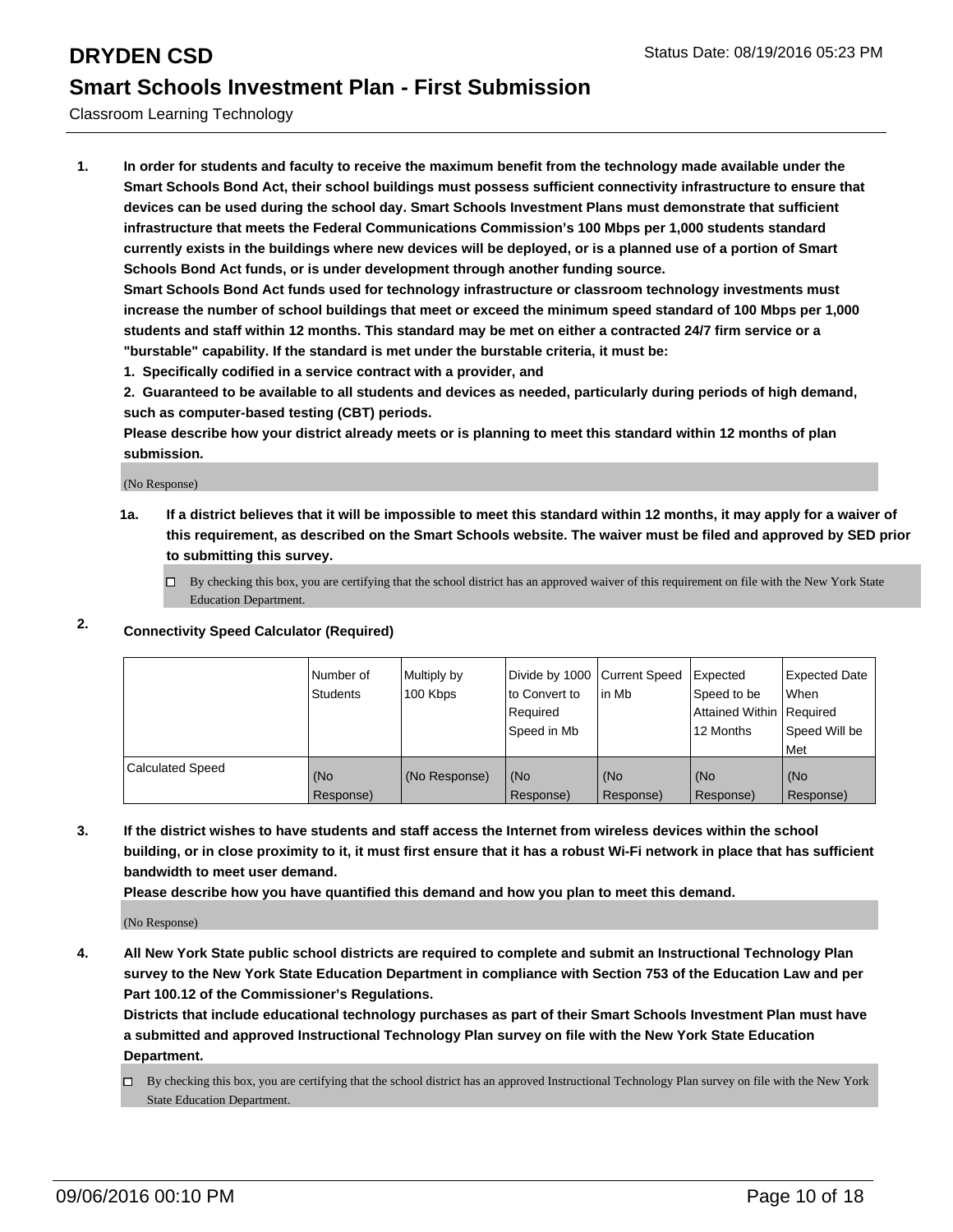Classroom Learning Technology

**1. In order for students and faculty to receive the maximum benefit from the technology made available under the Smart Schools Bond Act, their school buildings must possess sufficient connectivity infrastructure to ensure that devices can be used during the school day. Smart Schools Investment Plans must demonstrate that sufficient infrastructure that meets the Federal Communications Commission's 100 Mbps per 1,000 students standard currently exists in the buildings where new devices will be deployed, or is a planned use of a portion of Smart Schools Bond Act funds, or is under development through another funding source.**

**Smart Schools Bond Act funds used for technology infrastructure or classroom technology investments must increase the number of school buildings that meet or exceed the minimum speed standard of 100 Mbps per 1,000 students and staff within 12 months. This standard may be met on either a contracted 24/7 firm service or a "burstable" capability. If the standard is met under the burstable criteria, it must be:**

**1. Specifically codified in a service contract with a provider, and**

**2. Guaranteed to be available to all students and devices as needed, particularly during periods of high demand, such as computer-based testing (CBT) periods.**

**Please describe how your district already meets or is planning to meet this standard within 12 months of plan submission.**

(No Response)

**1a. If a district believes that it will be impossible to meet this standard within 12 months, it may apply for a waiver of this requirement, as described on the Smart Schools website. The waiver must be filed and approved by SED prior to submitting this survey.**

 $\Box$  By checking this box, you are certifying that the school district has an approved waiver of this requirement on file with the New York State Education Department.

### **2. Connectivity Speed Calculator (Required)**

|                         | INumber of<br><b>Students</b> | Multiply by<br>100 Kbps | Divide by 1000 Current Speed<br>Ito Convert to<br>Required<br>l Speed in Mb | lin Mb           | Expected<br>Speed to be<br>Attained Within   Required<br>12 Months | Expected Date<br><b>When</b><br>Speed Will be<br>l Met |
|-------------------------|-------------------------------|-------------------------|-----------------------------------------------------------------------------|------------------|--------------------------------------------------------------------|--------------------------------------------------------|
| <b>Calculated Speed</b> | (No<br>Response)              | (No Response)           | (No<br>Response)                                                            | (No<br>Response) | (No<br>Response)                                                   | l (No<br>Response)                                     |

**3. If the district wishes to have students and staff access the Internet from wireless devices within the school building, or in close proximity to it, it must first ensure that it has a robust Wi-Fi network in place that has sufficient bandwidth to meet user demand.**

**Please describe how you have quantified this demand and how you plan to meet this demand.**

(No Response)

**4. All New York State public school districts are required to complete and submit an Instructional Technology Plan survey to the New York State Education Department in compliance with Section 753 of the Education Law and per Part 100.12 of the Commissioner's Regulations.**

**Districts that include educational technology purchases as part of their Smart Schools Investment Plan must have a submitted and approved Instructional Technology Plan survey on file with the New York State Education Department.**

 $\Box$  By checking this box, you are certifying that the school district has an approved Instructional Technology Plan survey on file with the New York State Education Department.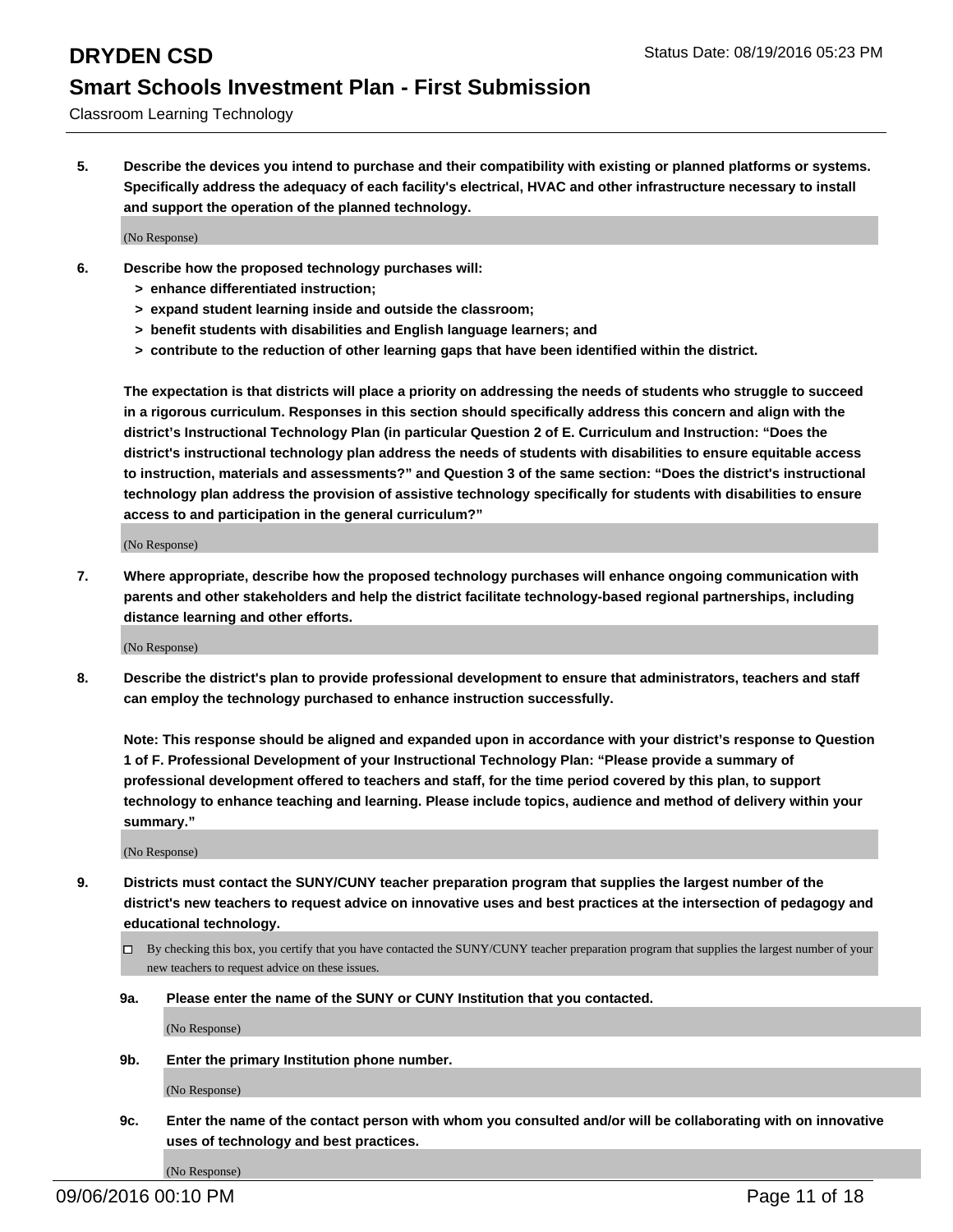Classroom Learning Technology

**5. Describe the devices you intend to purchase and their compatibility with existing or planned platforms or systems. Specifically address the adequacy of each facility's electrical, HVAC and other infrastructure necessary to install and support the operation of the planned technology.**

(No Response)

- **6. Describe how the proposed technology purchases will:**
	- **> enhance differentiated instruction;**
	- **> expand student learning inside and outside the classroom;**
	- **> benefit students with disabilities and English language learners; and**
	- **> contribute to the reduction of other learning gaps that have been identified within the district.**

**The expectation is that districts will place a priority on addressing the needs of students who struggle to succeed in a rigorous curriculum. Responses in this section should specifically address this concern and align with the district's Instructional Technology Plan (in particular Question 2 of E. Curriculum and Instruction: "Does the district's instructional technology plan address the needs of students with disabilities to ensure equitable access to instruction, materials and assessments?" and Question 3 of the same section: "Does the district's instructional technology plan address the provision of assistive technology specifically for students with disabilities to ensure access to and participation in the general curriculum?"**

(No Response)

**7. Where appropriate, describe how the proposed technology purchases will enhance ongoing communication with parents and other stakeholders and help the district facilitate technology-based regional partnerships, including distance learning and other efforts.**

(No Response)

**8. Describe the district's plan to provide professional development to ensure that administrators, teachers and staff can employ the technology purchased to enhance instruction successfully.**

**Note: This response should be aligned and expanded upon in accordance with your district's response to Question 1 of F. Professional Development of your Instructional Technology Plan: "Please provide a summary of professional development offered to teachers and staff, for the time period covered by this plan, to support technology to enhance teaching and learning. Please include topics, audience and method of delivery within your summary."**

(No Response)

- **9. Districts must contact the SUNY/CUNY teacher preparation program that supplies the largest number of the district's new teachers to request advice on innovative uses and best practices at the intersection of pedagogy and educational technology.**
	- $\Box$  By checking this box, you certify that you have contacted the SUNY/CUNY teacher preparation program that supplies the largest number of your new teachers to request advice on these issues.
	- **9a. Please enter the name of the SUNY or CUNY Institution that you contacted.**

(No Response)

**9b. Enter the primary Institution phone number.**

(No Response)

**9c. Enter the name of the contact person with whom you consulted and/or will be collaborating with on innovative uses of technology and best practices.**

(No Response)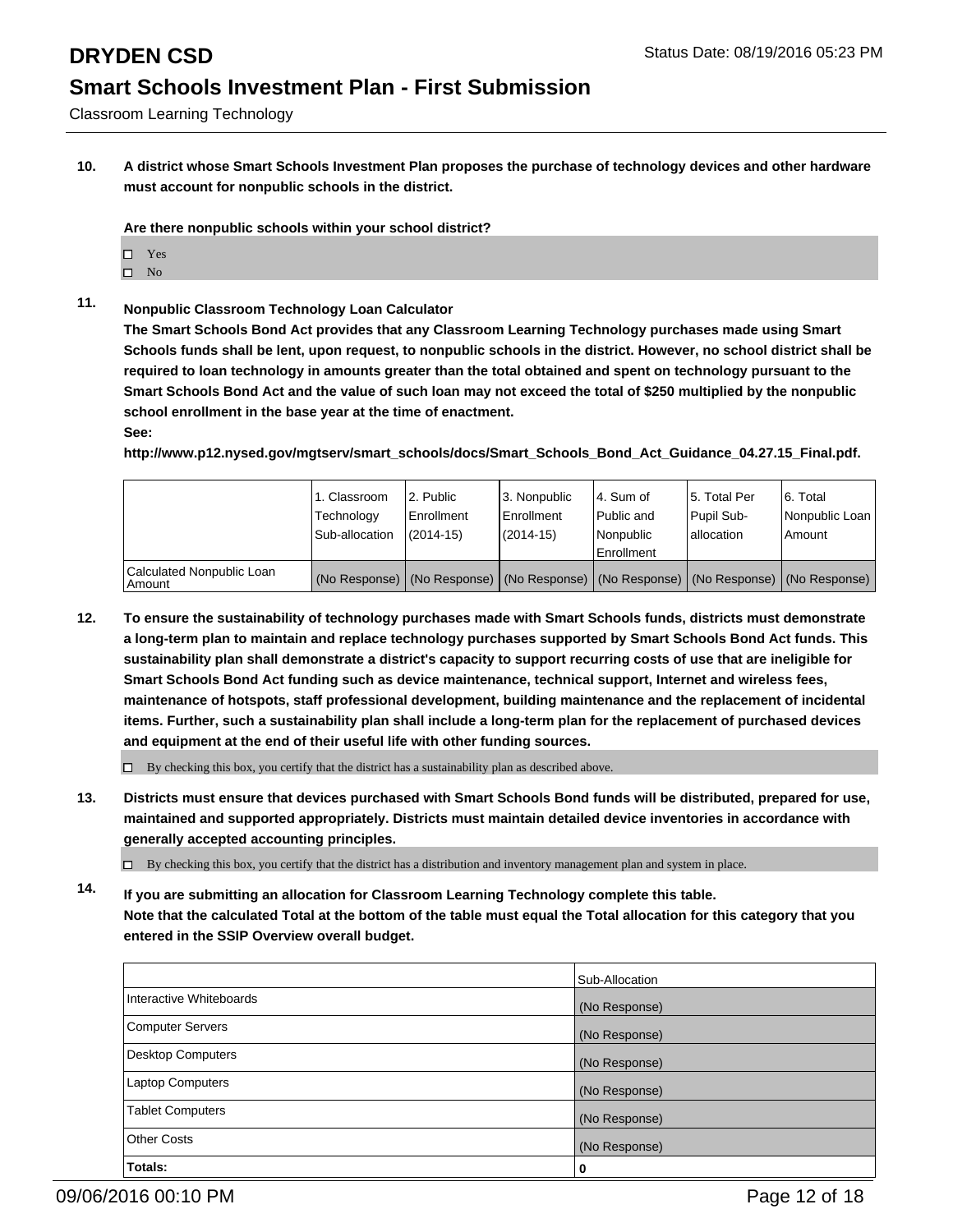Classroom Learning Technology

**10. A district whose Smart Schools Investment Plan proposes the purchase of technology devices and other hardware must account for nonpublic schools in the district.**

**Are there nonpublic schools within your school district?**

- □ Yes
- $\square$  No
- **11. Nonpublic Classroom Technology Loan Calculator**

**The Smart Schools Bond Act provides that any Classroom Learning Technology purchases made using Smart Schools funds shall be lent, upon request, to nonpublic schools in the district. However, no school district shall be required to loan technology in amounts greater than the total obtained and spent on technology pursuant to the Smart Schools Bond Act and the value of such loan may not exceed the total of \$250 multiplied by the nonpublic school enrollment in the base year at the time of enactment.**

### **See:**

**http://www.p12.nysed.gov/mgtserv/smart\_schools/docs/Smart\_Schools\_Bond\_Act\_Guidance\_04.27.15\_Final.pdf.**

|                                         | 1. Classroom<br>Technology<br>Sub-allocation | 2. Public<br>Enrollment<br>$(2014 - 15)$ | 3. Nonpublic<br>Enrollment<br>(2014-15) | l 4. Sum of<br>l Public and<br>l Nonpublic<br>Enrollment                                      | 15. Total Per<br>Pupil Sub-<br>Iallocation | 6. Total<br>Nonpublic Loan  <br>Amount |
|-----------------------------------------|----------------------------------------------|------------------------------------------|-----------------------------------------|-----------------------------------------------------------------------------------------------|--------------------------------------------|----------------------------------------|
| Calculated Nonpublic Loan<br>l Amount i |                                              |                                          |                                         | (No Response)   (No Response)   (No Response)   (No Response)   (No Response)   (No Response) |                                            |                                        |

**12. To ensure the sustainability of technology purchases made with Smart Schools funds, districts must demonstrate a long-term plan to maintain and replace technology purchases supported by Smart Schools Bond Act funds. This sustainability plan shall demonstrate a district's capacity to support recurring costs of use that are ineligible for Smart Schools Bond Act funding such as device maintenance, technical support, Internet and wireless fees, maintenance of hotspots, staff professional development, building maintenance and the replacement of incidental items. Further, such a sustainability plan shall include a long-term plan for the replacement of purchased devices and equipment at the end of their useful life with other funding sources.**

 $\Box$  By checking this box, you certify that the district has a sustainability plan as described above.

**13. Districts must ensure that devices purchased with Smart Schools Bond funds will be distributed, prepared for use, maintained and supported appropriately. Districts must maintain detailed device inventories in accordance with generally accepted accounting principles.**

 $\Box$  By checking this box, you certify that the district has a distribution and inventory management plan and system in place.

**14. If you are submitting an allocation for Classroom Learning Technology complete this table. Note that the calculated Total at the bottom of the table must equal the Total allocation for this category that you entered in the SSIP Overview overall budget.**

|                         | Sub-Allocation |
|-------------------------|----------------|
| Interactive Whiteboards | (No Response)  |
| Computer Servers        | (No Response)  |
| Desktop Computers       | (No Response)  |
| Laptop Computers        | (No Response)  |
| Tablet Computers        | (No Response)  |
| Other Costs             | (No Response)  |
| Totals:                 | 0              |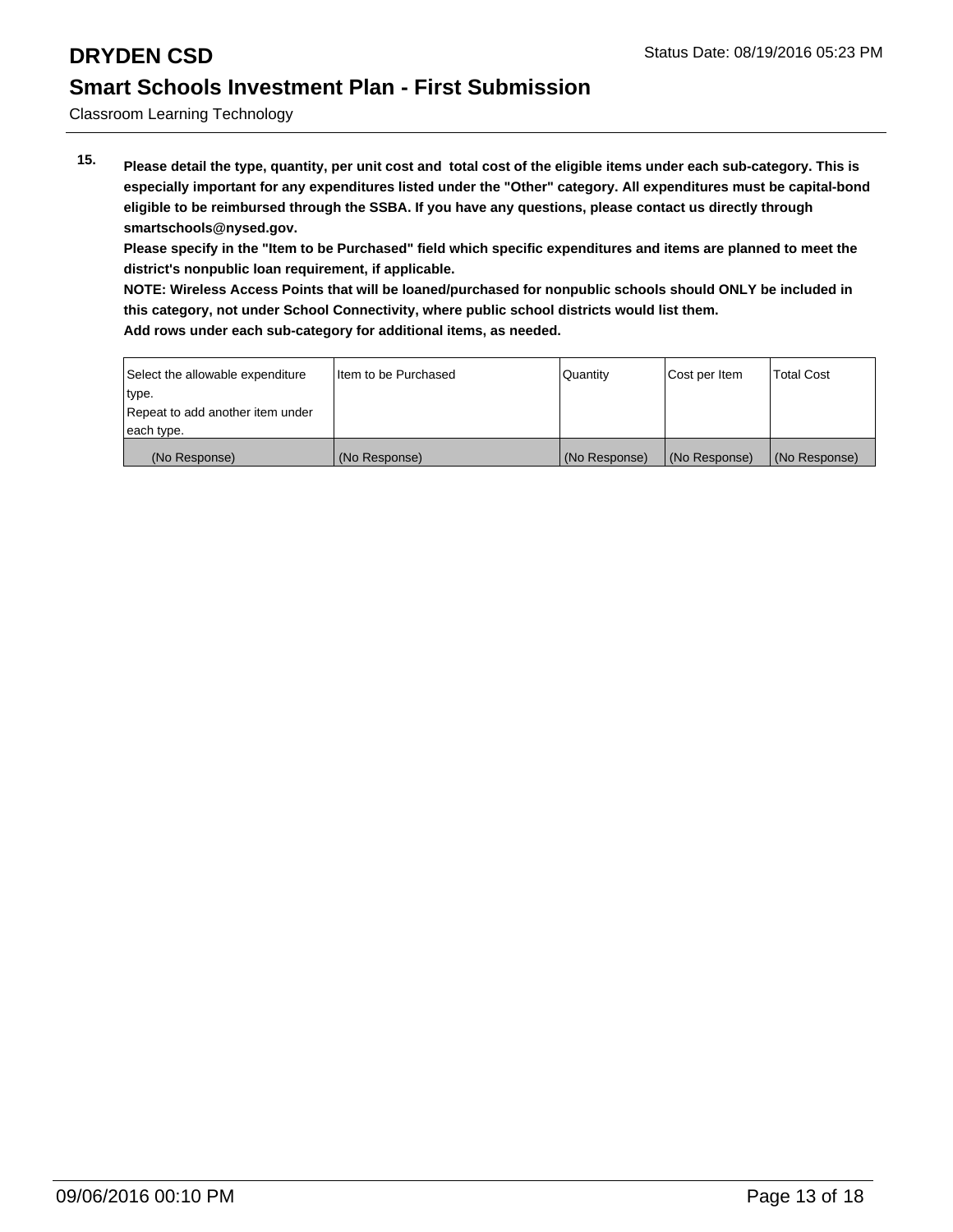Classroom Learning Technology

**15. Please detail the type, quantity, per unit cost and total cost of the eligible items under each sub-category. This is especially important for any expenditures listed under the "Other" category. All expenditures must be capital-bond eligible to be reimbursed through the SSBA. If you have any questions, please contact us directly through smartschools@nysed.gov.**

**Please specify in the "Item to be Purchased" field which specific expenditures and items are planned to meet the district's nonpublic loan requirement, if applicable.**

**NOTE: Wireless Access Points that will be loaned/purchased for nonpublic schools should ONLY be included in this category, not under School Connectivity, where public school districts would list them.**

| Select the allowable expenditure | Item to be Purchased | <b>Quantity</b> | Cost per Item | <b>Total Cost</b> |
|----------------------------------|----------------------|-----------------|---------------|-------------------|
| type.                            |                      |                 |               |                   |
| Repeat to add another item under |                      |                 |               |                   |
| each type.                       |                      |                 |               |                   |
| (No Response)                    | (No Response)        | (No Response)   | (No Response) | (No Response)     |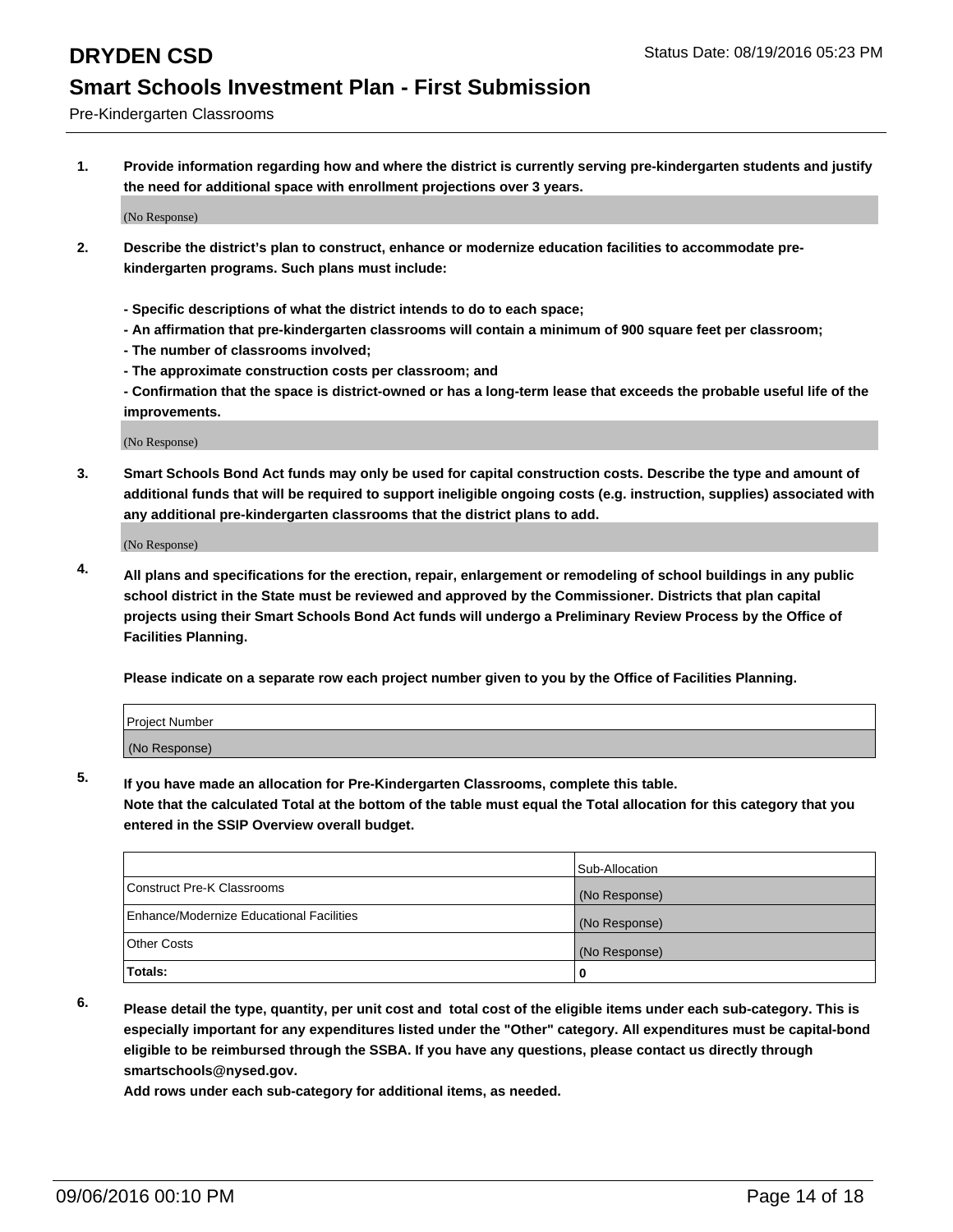Pre-Kindergarten Classrooms

**1. Provide information regarding how and where the district is currently serving pre-kindergarten students and justify the need for additional space with enrollment projections over 3 years.**

(No Response)

- **2. Describe the district's plan to construct, enhance or modernize education facilities to accommodate prekindergarten programs. Such plans must include:**
	- **Specific descriptions of what the district intends to do to each space;**
	- **An affirmation that pre-kindergarten classrooms will contain a minimum of 900 square feet per classroom;**
	- **The number of classrooms involved;**
	- **The approximate construction costs per classroom; and**
	- **Confirmation that the space is district-owned or has a long-term lease that exceeds the probable useful life of the improvements.**

(No Response)

**3. Smart Schools Bond Act funds may only be used for capital construction costs. Describe the type and amount of additional funds that will be required to support ineligible ongoing costs (e.g. instruction, supplies) associated with any additional pre-kindergarten classrooms that the district plans to add.**

(No Response)

**4. All plans and specifications for the erection, repair, enlargement or remodeling of school buildings in any public school district in the State must be reviewed and approved by the Commissioner. Districts that plan capital projects using their Smart Schools Bond Act funds will undergo a Preliminary Review Process by the Office of Facilities Planning.**

**Please indicate on a separate row each project number given to you by the Office of Facilities Planning.**

| <b>Project Number</b> |  |
|-----------------------|--|
| (No Response)         |  |

**5. If you have made an allocation for Pre-Kindergarten Classrooms, complete this table.**

**Note that the calculated Total at the bottom of the table must equal the Total allocation for this category that you entered in the SSIP Overview overall budget.**

|                                          | Sub-Allocation |
|------------------------------------------|----------------|
| Construct Pre-K Classrooms               | (No Response)  |
| Enhance/Modernize Educational Facilities | (No Response)  |
| Other Costs                              | (No Response)  |
| Totals:                                  | 0              |

**6. Please detail the type, quantity, per unit cost and total cost of the eligible items under each sub-category. This is especially important for any expenditures listed under the "Other" category. All expenditures must be capital-bond eligible to be reimbursed through the SSBA. If you have any questions, please contact us directly through smartschools@nysed.gov.**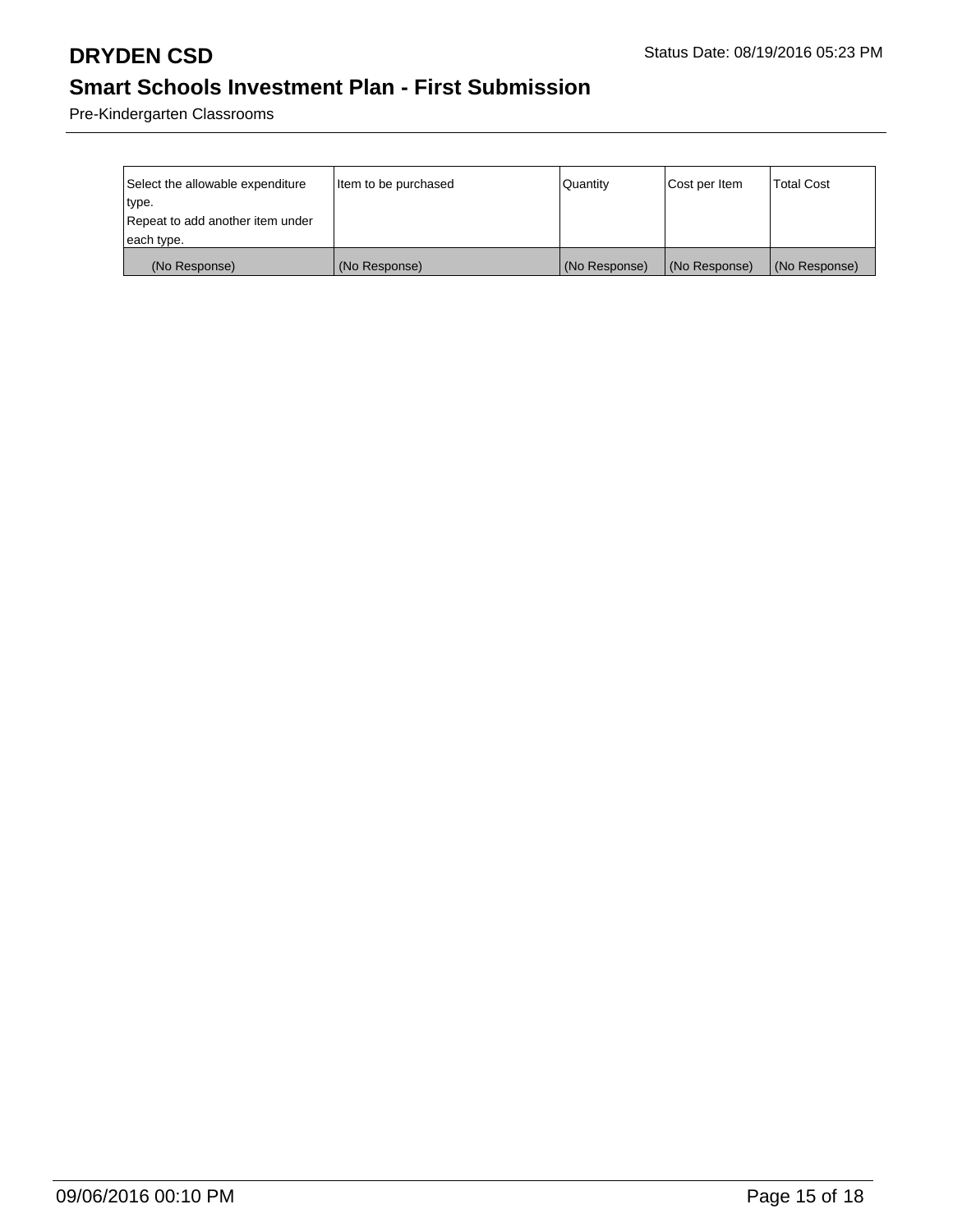Pre-Kindergarten Classrooms

| Select the allowable expenditure | Item to be purchased | Quantity      | Cost per Item | <b>Total Cost</b> |
|----------------------------------|----------------------|---------------|---------------|-------------------|
| type.                            |                      |               |               |                   |
| Repeat to add another item under |                      |               |               |                   |
| each type.                       |                      |               |               |                   |
| (No Response)                    | (No Response)        | (No Response) | (No Response) | (No Response)     |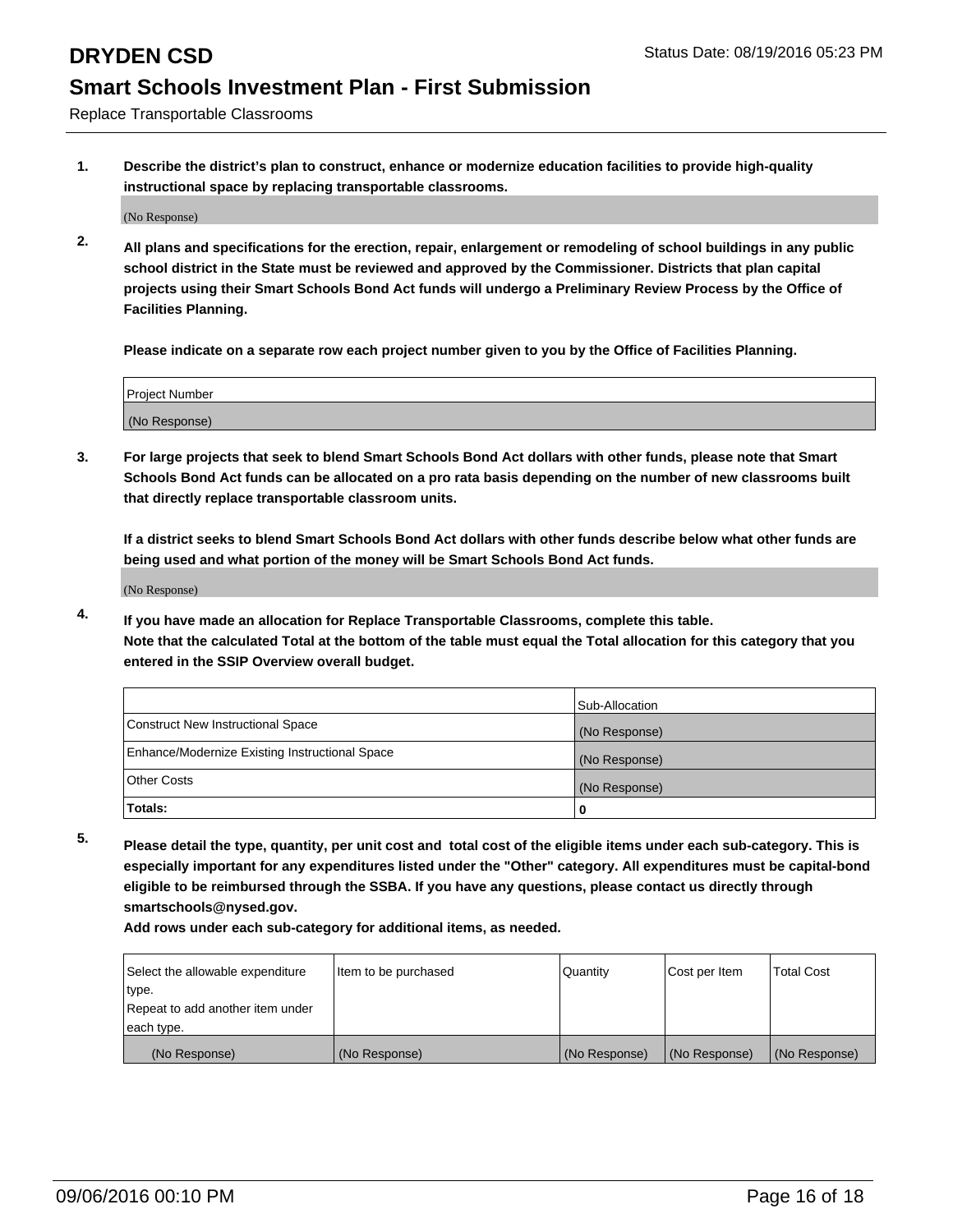Replace Transportable Classrooms

**1. Describe the district's plan to construct, enhance or modernize education facilities to provide high-quality instructional space by replacing transportable classrooms.**

(No Response)

**2. All plans and specifications for the erection, repair, enlargement or remodeling of school buildings in any public school district in the State must be reviewed and approved by the Commissioner. Districts that plan capital projects using their Smart Schools Bond Act funds will undergo a Preliminary Review Process by the Office of Facilities Planning.**

**Please indicate on a separate row each project number given to you by the Office of Facilities Planning.**

| Project Number |  |
|----------------|--|
|                |  |
|                |  |
|                |  |
|                |  |
| (No Response)  |  |
|                |  |
|                |  |
|                |  |

**3. For large projects that seek to blend Smart Schools Bond Act dollars with other funds, please note that Smart Schools Bond Act funds can be allocated on a pro rata basis depending on the number of new classrooms built that directly replace transportable classroom units.**

**If a district seeks to blend Smart Schools Bond Act dollars with other funds describe below what other funds are being used and what portion of the money will be Smart Schools Bond Act funds.**

(No Response)

**4. If you have made an allocation for Replace Transportable Classrooms, complete this table. Note that the calculated Total at the bottom of the table must equal the Total allocation for this category that you entered in the SSIP Overview overall budget.**

|                                                | Sub-Allocation |
|------------------------------------------------|----------------|
| Construct New Instructional Space              | (No Response)  |
| Enhance/Modernize Existing Instructional Space | (No Response)  |
| Other Costs                                    | (No Response)  |
| Totals:                                        | 0              |

**5. Please detail the type, quantity, per unit cost and total cost of the eligible items under each sub-category. This is especially important for any expenditures listed under the "Other" category. All expenditures must be capital-bond eligible to be reimbursed through the SSBA. If you have any questions, please contact us directly through smartschools@nysed.gov.**

| Select the allowable expenditure | Item to be purchased | Quantity      | Cost per Item | <b>Total Cost</b> |
|----------------------------------|----------------------|---------------|---------------|-------------------|
| type.                            |                      |               |               |                   |
| Repeat to add another item under |                      |               |               |                   |
| each type.                       |                      |               |               |                   |
| (No Response)                    | (No Response)        | (No Response) | (No Response) | (No Response)     |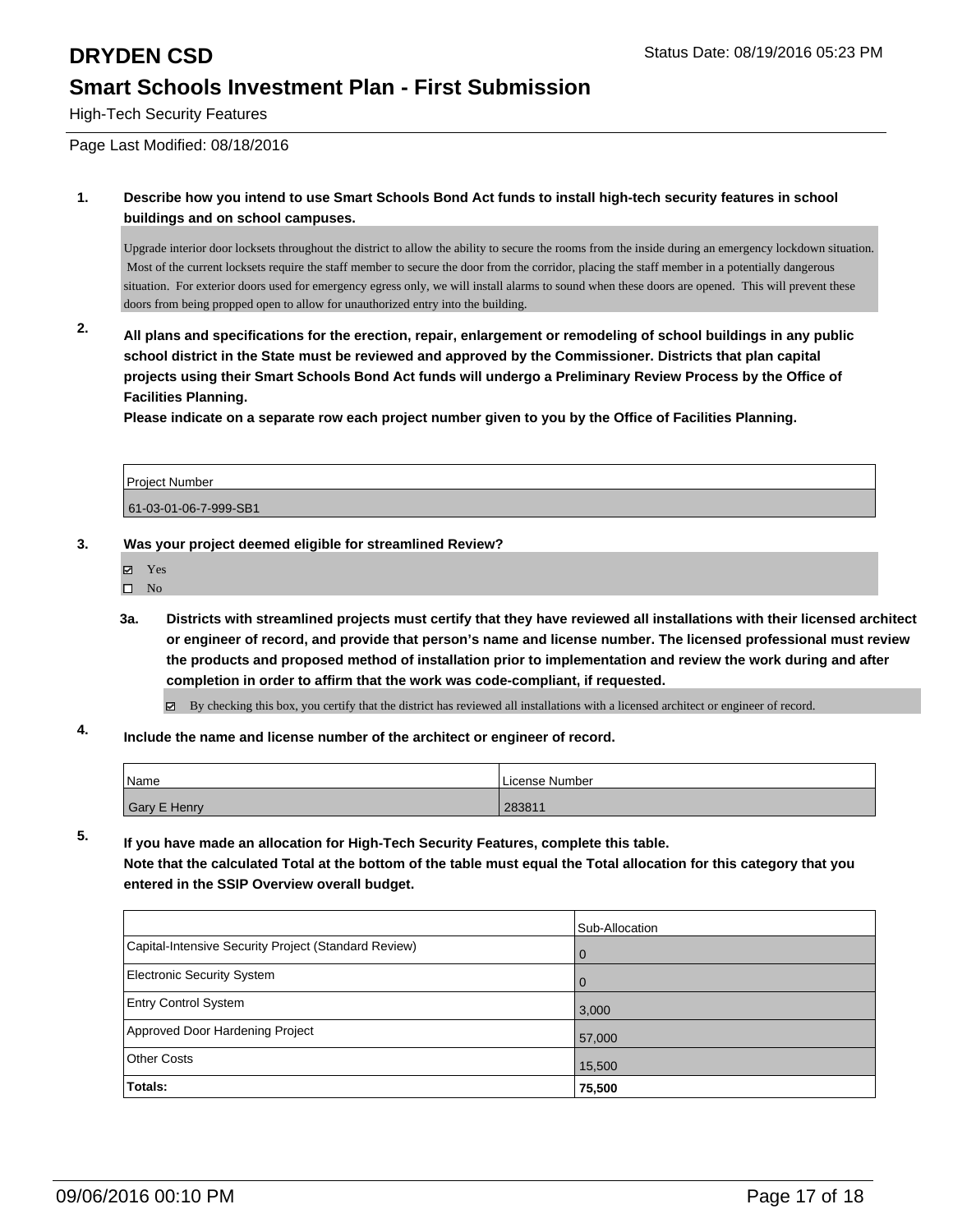High-Tech Security Features

Page Last Modified: 08/18/2016

**1. Describe how you intend to use Smart Schools Bond Act funds to install high-tech security features in school buildings and on school campuses.**

Upgrade interior door locksets throughout the district to allow the ability to secure the rooms from the inside during an emergency lockdown situation. Most of the current locksets require the staff member to secure the door from the corridor, placing the staff member in a potentially dangerous situation. For exterior doors used for emergency egress only, we will install alarms to sound when these doors are opened. This will prevent these doors from being propped open to allow for unauthorized entry into the building.

**2. All plans and specifications for the erection, repair, enlargement or remodeling of school buildings in any public school district in the State must be reviewed and approved by the Commissioner. Districts that plan capital projects using their Smart Schools Bond Act funds will undergo a Preliminary Review Process by the Office of Facilities Planning.** 

**Please indicate on a separate row each project number given to you by the Office of Facilities Planning.**

| Project Number        |  |
|-----------------------|--|
| 61-03-01-06-7-999-SB1 |  |

### **3. Was your project deemed eligible for streamlined Review?**

- Yes
- $\square$  No
- **3a. Districts with streamlined projects must certify that they have reviewed all installations with their licensed architect or engineer of record, and provide that person's name and license number. The licensed professional must review the products and proposed method of installation prior to implementation and review the work during and after completion in order to affirm that the work was code-compliant, if requested.**

 $\boxtimes$  By checking this box, you certify that the district has reviewed all installations with a licensed architect or engineer of record.

**4. Include the name and license number of the architect or engineer of record.**

| Name         | License Number |
|--------------|----------------|
| Gary E Henry | 283811         |

**5. If you have made an allocation for High-Tech Security Features, complete this table. Note that the calculated Total at the bottom of the table must equal the Total allocation for this category that you entered in the SSIP Overview overall budget.**

|                                                      | Sub-Allocation |
|------------------------------------------------------|----------------|
| Capital-Intensive Security Project (Standard Review) | l 0            |
| Electronic Security System                           | l 0            |
| <b>Entry Control System</b>                          | 3,000          |
| Approved Door Hardening Project                      | 57,000         |
| Other Costs                                          | 15,500         |
| <b>Totals:</b>                                       | 75,500         |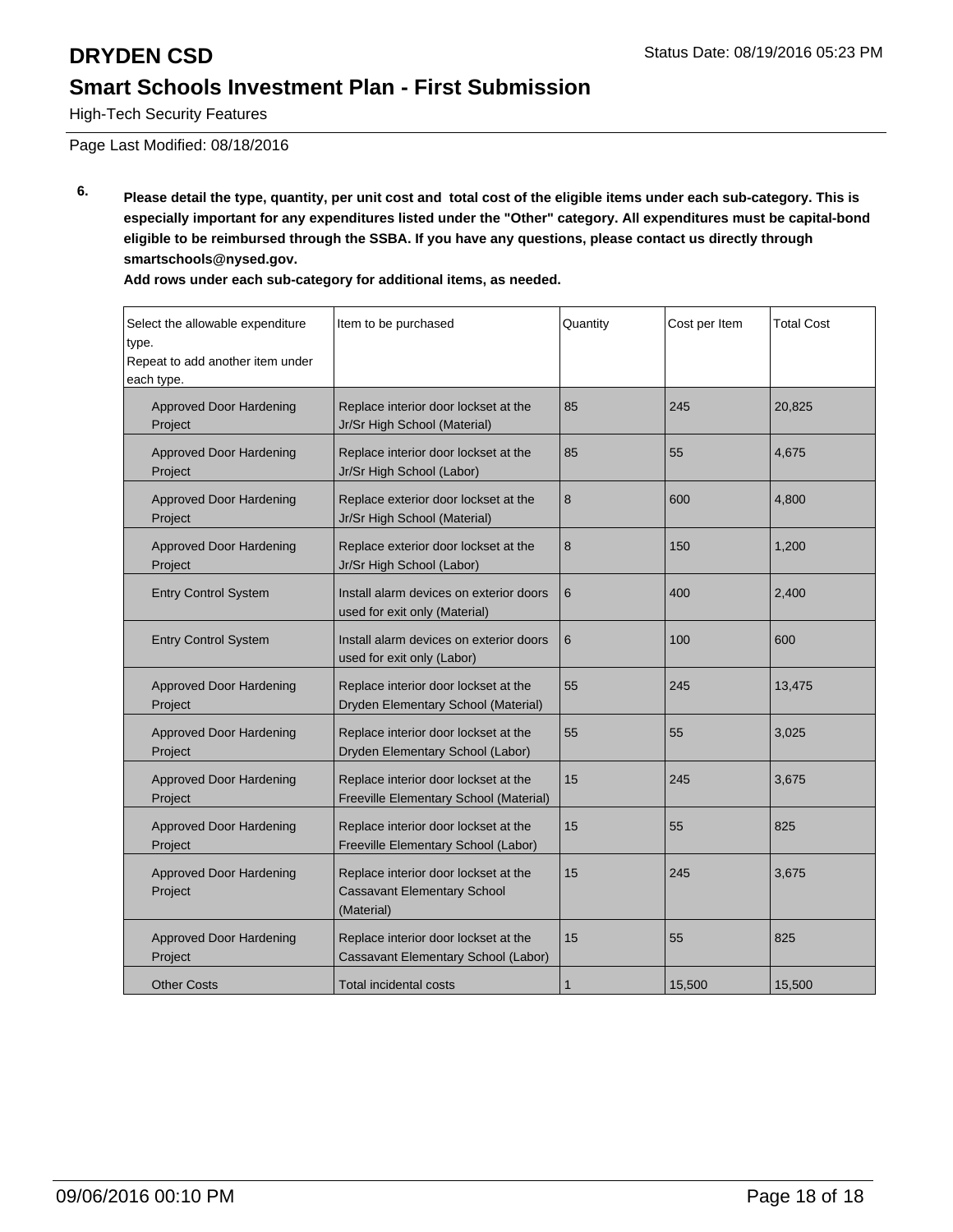High-Tech Security Features

Page Last Modified: 08/18/2016

**6. Please detail the type, quantity, per unit cost and total cost of the eligible items under each sub-category. This is especially important for any expenditures listed under the "Other" category. All expenditures must be capital-bond eligible to be reimbursed through the SSBA. If you have any questions, please contact us directly through smartschools@nysed.gov.**

| Select the allowable expenditure<br>type.<br>Repeat to add another item under<br>each type. | Item to be purchased                                                           | Quantity | Cost per Item | <b>Total Cost</b> |
|---------------------------------------------------------------------------------------------|--------------------------------------------------------------------------------|----------|---------------|-------------------|
| <b>Approved Door Hardening</b><br>Project                                                   | Replace interior door lockset at the<br>Jr/Sr High School (Material)           | 85       | 245           | 20,825            |
| Approved Door Hardening<br>Project                                                          | Replace interior door lockset at the<br>Jr/Sr High School (Labor)              | 85       | 55            | 4,675             |
| Approved Door Hardening<br>Project                                                          | Replace exterior door lockset at the<br>Jr/Sr High School (Material)           | 8        | 600           | 4,800             |
| Approved Door Hardening<br>Project                                                          | Replace exterior door lockset at the<br>Jr/Sr High School (Labor)              | 8        | 150           | 1,200             |
| <b>Entry Control System</b>                                                                 | Install alarm devices on exterior doors<br>used for exit only (Material)       | 6        | 400           | 2,400             |
| <b>Entry Control System</b>                                                                 | Install alarm devices on exterior doors<br>used for exit only (Labor)          | 6        | 100           | 600               |
| <b>Approved Door Hardening</b><br>Project                                                   | Replace interior door lockset at the<br>Dryden Elementary School (Material)    | 55       | 245           | 13,475            |
| <b>Approved Door Hardening</b><br>Project                                                   | Replace interior door lockset at the<br>Dryden Elementary School (Labor)       | 55       | 55            | 3.025             |
| <b>Approved Door Hardening</b><br>Project                                                   | Replace interior door lockset at the<br>Freeville Elementary School (Material) | 15       | 245           | 3,675             |
| <b>Approved Door Hardening</b><br>Project                                                   | Replace interior door lockset at the<br>Freeville Elementary School (Labor)    | 15       | 55            | 825               |
|                                                                                             |                                                                                |          |               |                   |

Replace interior door lockset at the Cassavant Elementary School

Replace interior door lockset at the Cassavant Elementary School (Labor)

Other Costs Total incidental costs 1 1 15,500 15,500 15,500

(Material)

**Add rows under each sub-category for additional items, as needed.**

Approved Door Hardening

Approved Door Hardening

Project

Project

15 245 3,675

15 | 55 | 825